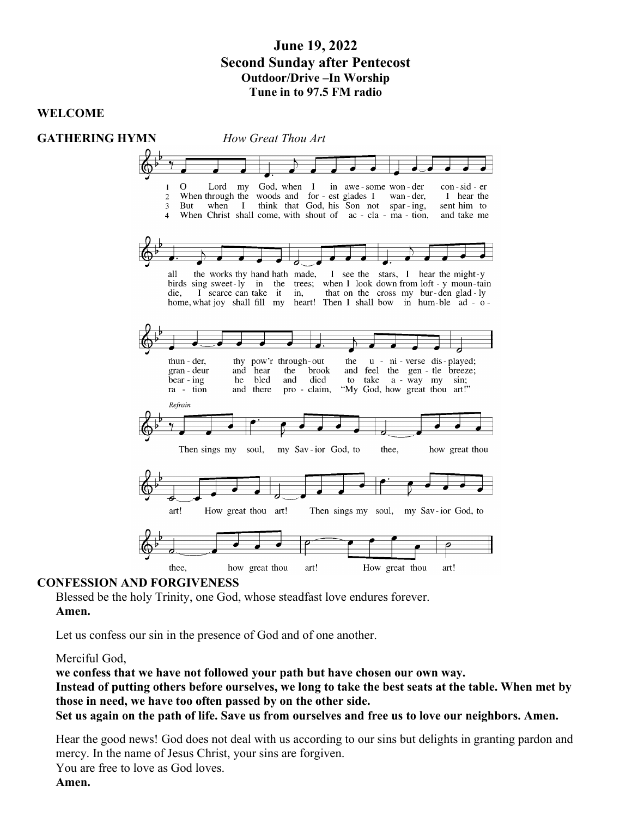# June 19, 2022 Second Sunday after Pentecost Outdoor/Drive –In Worship Tune in to 97.5 FM radio

# WELCOME



#### CONFESSION AND FORGIVENESS

Blessed be the holy Trinity, one God, whose steadfast love endures forever. Amen.

Let us confess our sin in the presence of God and of one another.

Merciful God,

we confess that we have not followed your path but have chosen our own way. Instead of putting others before ourselves, we long to take the best seats at the table. When met by those in need, we have too often passed by on the other side. Set us again on the path of life. Save us from ourselves and free us to love our neighbors. Amen.

Hear the good news! God does not deal with us according to our sins but delights in granting pardon and mercy. In the name of Jesus Christ, your sins are forgiven.

You are free to love as God loves.

Amen.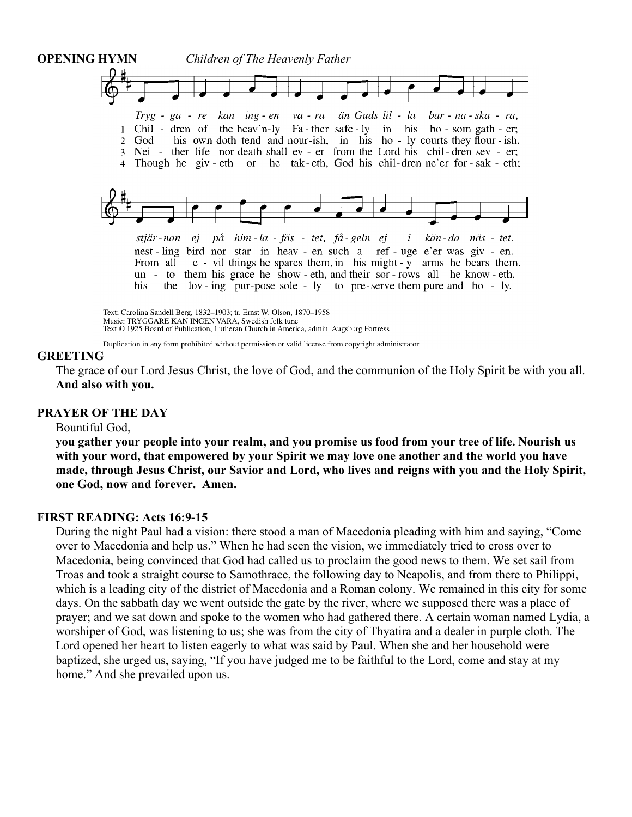

Text © 1925 Board of Publication, Lutheran Church in America, admin. Augsburg Fortress

Duplication in any form prohibited without permission or valid license from copyright administrator.

#### GREETING

The grace of our Lord Jesus Christ, the love of God, and the communion of the Holy Spirit be with you all. And also with you.

#### PRAYER OF THE DAY

#### Bountiful God,

you gather your people into your realm, and you promise us food from your tree of life. Nourish us with your word, that empowered by your Spirit we may love one another and the world you have made, through Jesus Christ, our Savior and Lord, who lives and reigns with you and the Holy Spirit, one God, now and forever. Amen.

# FIRST READING: Acts 16:9-15

During the night Paul had a vision: there stood a man of Macedonia pleading with him and saying, "Come over to Macedonia and help us." When he had seen the vision, we immediately tried to cross over to Macedonia, being convinced that God had called us to proclaim the good news to them. We set sail from Troas and took a straight course to Samothrace, the following day to Neapolis, and from there to Philippi, which is a leading city of the district of Macedonia and a Roman colony. We remained in this city for some days. On the sabbath day we went outside the gate by the river, where we supposed there was a place of prayer; and we sat down and spoke to the women who had gathered there. A certain woman named Lydia, a worshiper of God, was listening to us; she was from the city of Thyatira and a dealer in purple cloth. The Lord opened her heart to listen eagerly to what was said by Paul. When she and her household were baptized, she urged us, saying, "If you have judged me to be faithful to the Lord, come and stay at my home." And she prevailed upon us.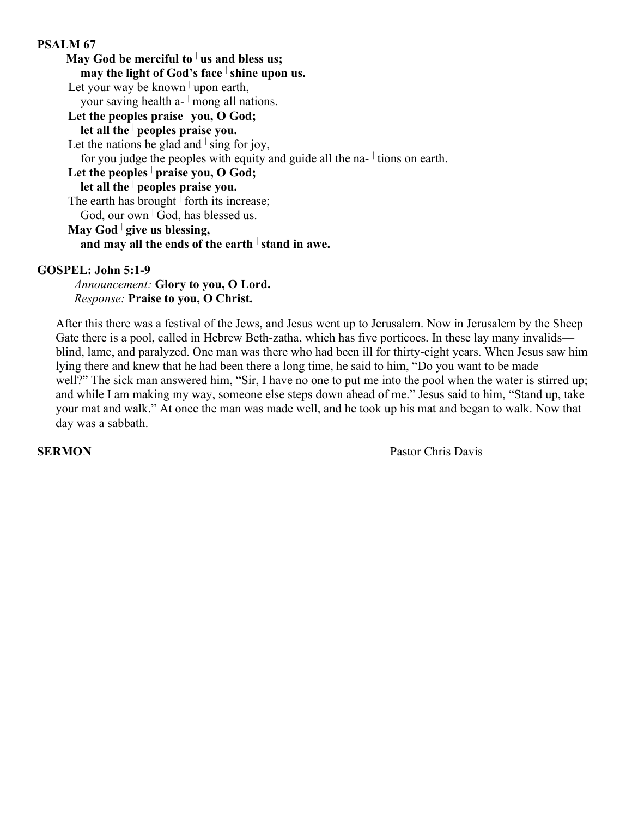# PSALM 67

May God be merciful to  $\frac{1}{2}$  us and bless us; may the light of God's face  $\frac{1}{2}$  shine upon us. Let your way be known  $\vert$  upon earth, your saving health a- $\vert$  mong all nations. Let the peoples praise  $\vert$  you, O God; let all the  $\vert$  peoples praise you. Let the nations be glad and  $\frac{1}{2}$  sing for joy, for you judge the peoples with equity and guide all the na- $\frac{1}{2}$  tions on earth. Let the peoples  $\vert$  praise you, O God; let all the  $\vert$  peoples praise you. The earth has brought  $\frac{1}{1}$  forth its increase; God, our own  $\vert$  God, has blessed us. May God  $\vert$  give us blessing, and may all the ends of the earth  $\frac{1}{1}$  stand in awe.

#### GOSPEL: John 5:1-9

Announcement: Glory to you, O Lord. Response: Praise to you, O Christ.

After this there was a festival of the Jews, and Jesus went up to Jerusalem. Now in Jerusalem by the Sheep Gate there is a pool, called in Hebrew Beth-zatha, which has five porticoes. In these lay many invalids blind, lame, and paralyzed. One man was there who had been ill for thirty-eight years. When Jesus saw him lying there and knew that he had been there a long time, he said to him, "Do you want to be made well?" The sick man answered him, "Sir, I have no one to put me into the pool when the water is stirred up; and while I am making my way, someone else steps down ahead of me." Jesus said to him, "Stand up, take your mat and walk." At once the man was made well, and he took up his mat and began to walk. Now that day was a sabbath.

SERMON Pastor Chris Davis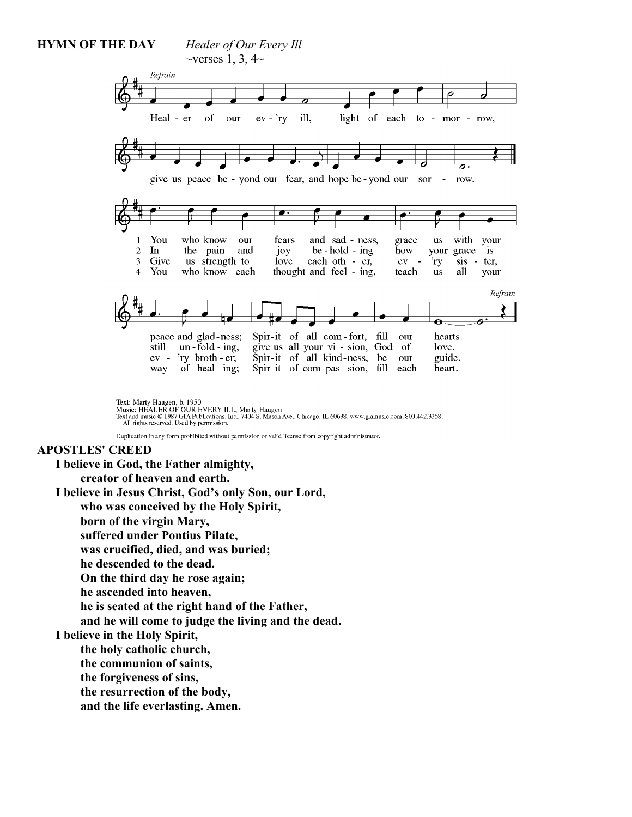#### HYMN OF THE DAY Healer of Our Every Ill  $\sim$ verses 1, 3, 4 $\sim$ Refrain Heal - er of our  $ev - \gamma y$ ill. light of each to - mor - row, give us peace be - yond our fear, and hope be - yond our sor  $-$  row. with your You who know our fears and sad - ness, grace  $\overline{\mathbf{u}}$ s 1  $\overline{2}$  $In$ the pain and joy  $be - hold - ing$ how your grace is Give  $\overline{3}$ us strength to love each oth - er, ev  $\overline{a}$ 'ry  $sis - ter$ , You who know each thought and feel - ing, all  $\Delta$ teach  $\overline{\mathbf{u}}$ s your Refrain Spir-it of all com-fort, fill peace and glad-ness; our hearts.  $\tilde{\text{still}}$  un -  $\tilde{\text{fold}}$  - ing, give us all your vi - sion, God of love. Spir-it of all kind-ness, be ev - 'ry broth - er; guide. our way of heal - ing; Spir-it of com-pas-sion, fill each heart.

Text: Marty Haugen, b. 1950<br>Music: HEALER OF OUR EVERY ILL, Marty Haugen<br>Text and music © 1987 GIA Publications, Inc., 7404 S. Mason Ave., Chicago, IL 60638. www.giamusic.com. 800.442.3358.<br>All rights reserved. Used by per

Duplication in any form prohibited without permission or valid license from copyright administrator.

#### APOSTLES' CREED

I believe in God, the Father almighty, creator of heaven and earth. I believe in Jesus Christ, God's only Son, our Lord, who was conceived by the Holy Spirit, born of the virgin Mary, suffered under Pontius Pilate, was crucified, died, and was buried; he descended to the dead. On the third day he rose again; he ascended into heaven, he is seated at the right hand of the Father, and he will come to judge the living and the dead. I believe in the Holy Spirit, the holy catholic church, the communion of saints, the forgiveness of sins, the resurrection of the body,

and the life everlasting. Amen.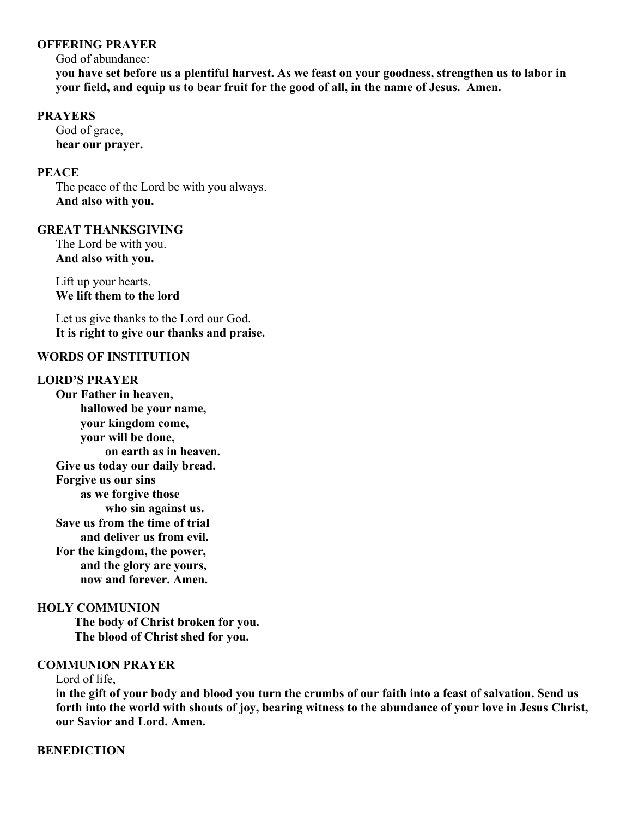### OFFERING PRAYER

God of abundance:

you have set before us a plentiful harvest. As we feast on your goodness, strengthen us to labor in your field, and equip us to bear fruit for the good of all, in the name of Jesus. Amen.

#### PRAYERS

God of grace, hear our prayer.

# **PEACE**

The peace of the Lord be with you always. And also with you.

# GREAT THANKSGIVING

The Lord be with you. And also with you.

Lift up your hearts. We lift them to the lord

Let us give thanks to the Lord our God. It is right to give our thanks and praise.

## WORDS OF INSTITUTION

# LORD'S PRAYER

Our Father in heaven, hallowed be your name, your kingdom come, your will be done, on earth as in heaven. Give us today our daily bread. Forgive us our sins as we forgive those who sin against us. Save us from the time of trial and deliver us from evil. For the kingdom, the power, and the glory are yours, now and forever. Amen.

# HOLY COMMUNION

 The body of Christ broken for you. The blood of Christ shed for you.

# COMMUNION PRAYER

Lord of life,

in the gift of your body and blood you turn the crumbs of our faith into a feast of salvation. Send us forth into the world with shouts of joy, bearing witness to the abundance of your love in Jesus Christ, our Savior and Lord. Amen.

# **BENEDICTION**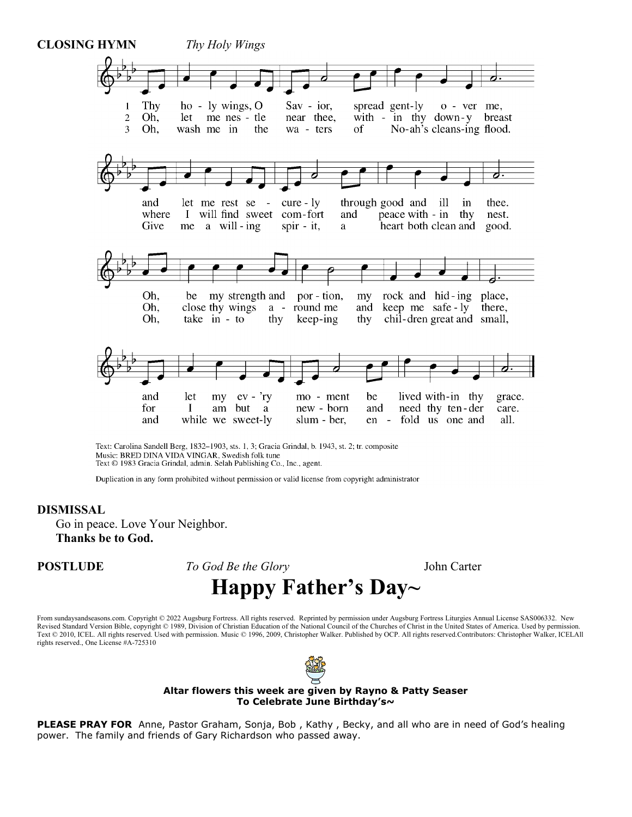

Text: Carolina Sandell Berg, 1832-1903, sts. 1, 3; Gracia Grindal, b. 1943, st. 2; tr. composite Music: BRED DINA VIDA VINGAR, Swedish folk tune Text © 1983 Gracia Grindal, admin. Selah Publishing Co., Inc., agent.

Duplication in any form prohibited without permission or valid license from copyright administrator

#### DISMISSAL

Go in peace. Love Your Neighbor. Thanks be to God.

**POSTLUDE** To God Be the Glory John Carter Happy Father's Day~

#### From sundaysandseasons.com. Copyright © 2022 Augsburg Fortress. All rights reserved. Reprinted by permission under Augsburg Fortress Liturgies Annual License SAS006332. New Revised Standard Version Bible, copyright © 1989, Division of Christian Education of the National Council of the Churches of Christ in the United States of America. Used by permission. Text © 2010, ICEL. All rights reserved. Used with permission. Music © 1996, 2009, Christopher Walker. Published by OCP. All rights reserved.Contributors: Christopher Walker, ICELAll rights reserved., One License #A-725310



#### Altar flowers this week are given by Rayno & Patty Seaser To Celebrate June Birthday's~

PLEASE PRAY FOR Anne, Pastor Graham, Sonja, Bob, Kathy, Becky, and all who are in need of God's healing power. The family and friends of Gary Richardson who passed away.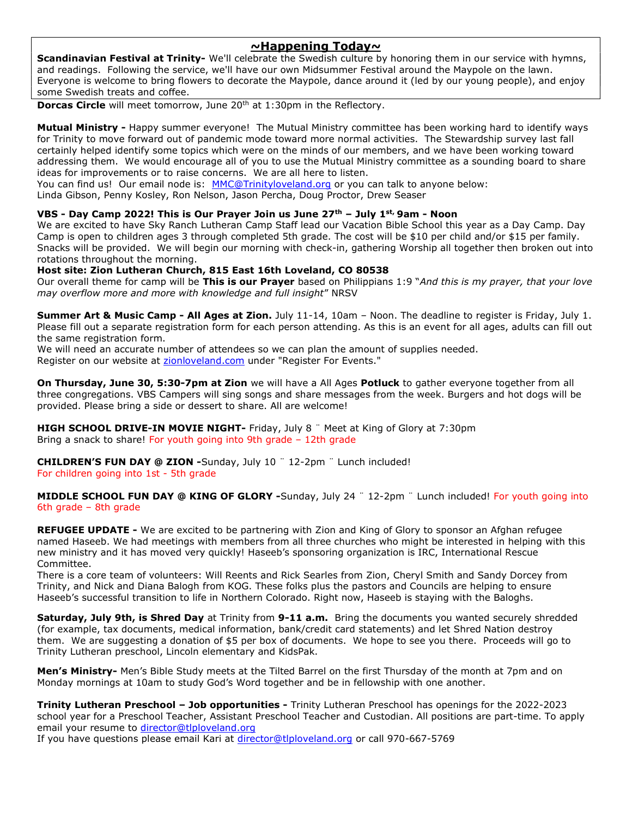## ~Happening Today~

Scandinavian Festival at Trinity- We'll celebrate the Swedish culture by honoring them in our service with hymns, and readings. Following the service, we'll have our own Midsummer Festival around the Maypole on the lawn. Everyone is welcome to bring flowers to decorate the Maypole, dance around it (led by our young people), and enjoy some Swedish treats and coffee.

**Dorcas Circle** will meet tomorrow, June 20<sup>th</sup> at 1:30pm in the Reflectory.

Mutual Ministry - Happy summer everyone! The Mutual Ministry committee has been working hard to identify ways for Trinity to move forward out of pandemic mode toward more normal activities. The Stewardship survey last fall certainly helped identify some topics which were on the minds of our members, and we have been working toward addressing them. We would encourage all of you to use the Mutual Ministry committee as a sounding board to share ideas for improvements or to raise concerns. We are all here to listen.

You can find us! Our email node is: MMC@Trinityloveland.org or you can talk to anyone below:

Linda Gibson, Penny Kosley, Ron Nelson, Jason Percha, Doug Proctor, Drew Seaser

#### VBS - Day Camp 2022! This is Our Prayer Join us June  $27<sup>th</sup>$  – July 1st, 9am - Noon

We are excited to have Sky Ranch Lutheran Camp Staff lead our Vacation Bible School this year as a Day Camp. Day Camp is open to children ages 3 through completed 5th grade. The cost will be \$10 per child and/or \$15 per family. Snacks will be provided. We will begin our morning with check-in, gathering Worship all together then broken out into rotations throughout the morning.

#### Host site: Zion Lutheran Church, 815 East 16th Loveland, CO 80538

Our overall theme for camp will be This is our Prayer based on Philippians 1:9 "And this is my prayer, that your love may overflow more and more with knowledge and full insight" NRSV

Summer Art & Music Camp - All Ages at Zion. July 11-14, 10am – Noon. The deadline to register is Friday, July 1. Please fill out a separate registration form for each person attending. As this is an event for all ages, adults can fill out the same registration form.

We will need an accurate number of attendees so we can plan the amount of supplies needed. Register on our website at zionloveland.com under "Register For Events."

On Thursday, June 30, 5:30-7pm at Zion we will have a All Ages Potluck to gather everyone together from all three congregations. VBS Campers will sing songs and share messages from the week. Burgers and hot dogs will be provided. Please bring a side or dessert to share. All are welcome!

HIGH SCHOOL DRIVE-IN MOVIE NIGHT- Friday, July 8 " Meet at King of Glory at 7:30pm Bring a snack to share! For youth going into 9th grade – 12th grade

CHILDREN'S FUN DAY @ ZION -Sunday, July 10 ¨ 12-2pm ¨ Lunch included! For children going into 1st - 5th grade

MIDDLE SCHOOL FUN DAY @ KING OF GLORY -Sunday, July 24 " 12-2pm " Lunch included! For youth going into 6th grade – 8th grade

REFUGEE UPDATE - We are excited to be partnering with Zion and King of Glory to sponsor an Afghan refugee named Haseeb. We had meetings with members from all three churches who might be interested in helping with this new ministry and it has moved very quickly! Haseeb's sponsoring organization is IRC, International Rescue Committee.

There is a core team of volunteers: Will Reents and Rick Searles from Zion, Cheryl Smith and Sandy Dorcey from Trinity, and Nick and Diana Balogh from KOG. These folks plus the pastors and Councils are helping to ensure Haseeb's successful transition to life in Northern Colorado. Right now, Haseeb is staying with the Baloghs.

Saturday, July 9th, is Shred Day at Trinity from 9-11 a.m. Bring the documents you wanted securely shredded (for example, tax documents, medical information, bank/credit card statements) and let Shred Nation destroy them. We are suggesting a donation of \$5 per box of documents. We hope to see you there. Proceeds will go to Trinity Lutheran preschool, Lincoln elementary and KidsPak.

Men's Ministry- Men's Bible Study meets at the Tilted Barrel on the first Thursday of the month at 7pm and on Monday mornings at 10am to study God's Word together and be in fellowship with one another.

Trinity Lutheran Preschool – Job opportunities - Trinity Lutheran Preschool has openings for the 2022-2023 school year for a Preschool Teacher, Assistant Preschool Teacher and Custodian. All positions are part-time. To apply email your resume to director@tlploveland.org

If you have questions please email Kari at director@tlploveland.org or call 970-667-5769